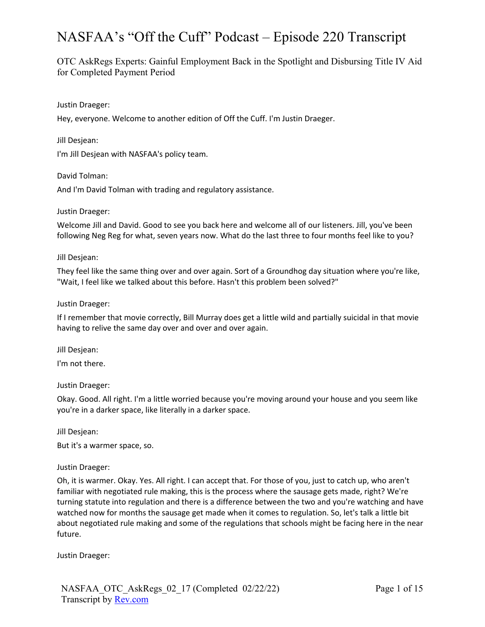OTC AskRegs Experts: Gainful Employment Back in the Spotlight and Disbursing Title IV Aid for Completed Payment Period

Justin Draeger:

Hey, everyone. Welcome to another edition of Off the Cuff. I'm Justin Draeger.

Jill Desjean:

I'm Jill Desjean with NASFAA's policy team.

David Tolman:

And I'm David Tolman with trading and regulatory assistance.

#### Justin Draeger:

Welcome Jill and David. Good to see you back here and welcome all of our listeners. Jill, you've been following Neg Reg for what, seven years now. What do the last three to four months feel like to you?

#### Jill Desjean:

They feel like the same thing over and over again. Sort of a Groundhog day situation where you're like, "Wait, I feel like we talked about this before. Hasn't this problem been solved?"

#### Justin Draeger:

If I remember that movie correctly, Bill Murray does get a little wild and partially suicidal in that movie having to relive the same day over and over and over again.

Jill Desjean:

I'm not there.

# Justin Draeger:

Okay. Good. All right. I'm a little worried because you're moving around your house and you seem like you're in a darker space, like literally in a darker space.

Jill Desjean:

But it's a warmer space, so.

# Justin Draeger:

Oh, it is warmer. Okay. Yes. All right. I can accept that. For those of you, just to catch up, who aren't familiar with negotiated rule making, this is the process where the sausage gets made, right? We're turning statute into regulation and there is a difference between the two and you're watching and have watched now for months the sausage get made when it comes to regulation. So, let's talk a little bit about negotiated rule making and some of the regulations that schools might be facing here in the near future.

Justin Draeger: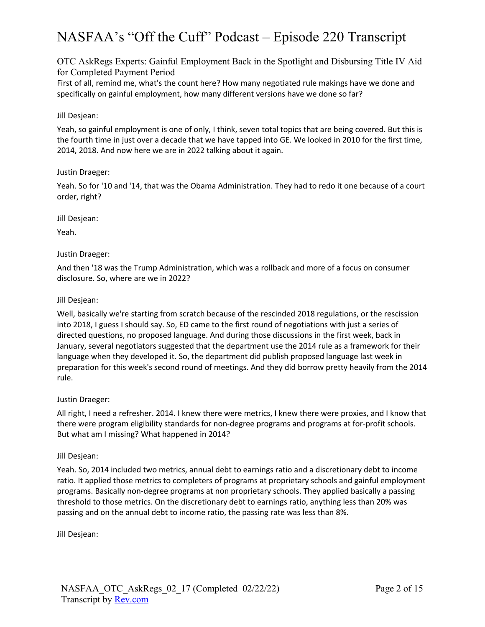OTC AskRegs Experts: Gainful Employment Back in the Spotlight and Disbursing Title IV Aid for Completed Payment Period

First of all, remind me, what's the count here? How many negotiated rule makings have we done and specifically on gainful employment, how many different versions have we done so far?

# Jill Desjean:

Yeah, so gainful employment is one of only, I think, seven total topics that are being covered. But this is the fourth time in just over a decade that we have tapped into GE. We looked in 2010 for the first time, 2014, 2018. And now here we are in 2022 talking about it again.

# Justin Draeger:

Yeah. So for '10 and '14, that was the Obama Administration. They had to redo it one because of a court order, right?

Jill Desjean:

Yeah.

# Justin Draeger:

And then '18 was the Trump Administration, which was a rollback and more of a focus on consumer disclosure. So, where are we in 2022?

# Jill Desjean:

Well, basically we're starting from scratch because of the rescinded 2018 regulations, or the rescission into 2018, I guess I should say. So, ED came to the first round of negotiations with just a series of directed questions, no proposed language. And during those discussions in the first week, back in January, several negotiators suggested that the department use the 2014 rule as a framework for their language when they developed it. So, the department did publish proposed language last week in preparation for this week's second round of meetings. And they did borrow pretty heavily from the 2014 rule.

# Justin Draeger:

All right, I need a refresher. 2014. I knew there were metrics, I knew there were proxies, and I know that there were program eligibility standards for non-degree programs and programs at for-profit schools. But what am I missing? What happened in 2014?

# Jill Desjean:

Yeah. So, 2014 included two metrics, annual debt to earnings ratio and a discretionary debt to income ratio. It applied those metrics to completers of programs at proprietary schools and gainful employment programs. Basically non-degree programs at non proprietary schools. They applied basically a passing threshold to those metrics. On the discretionary debt to earnings ratio, anything less than 20% was passing and on the annual debt to income ratio, the passing rate was less than 8%.

Jill Desjean: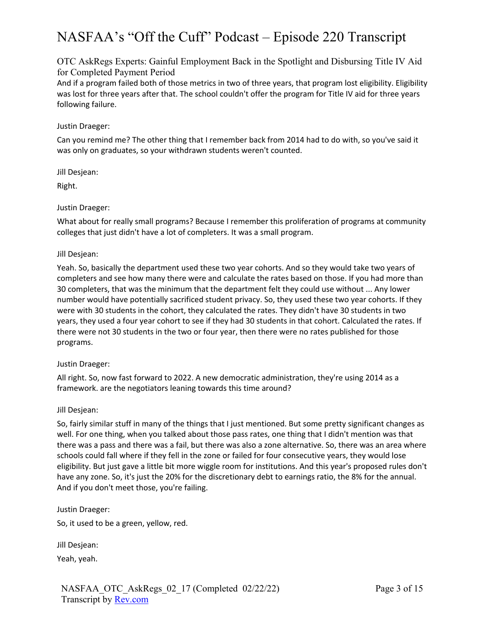OTC AskRegs Experts: Gainful Employment Back in the Spotlight and Disbursing Title IV Aid for Completed Payment Period

And if a program failed both of those metrics in two of three years, that program lost eligibility. Eligibility was lost for three years after that. The school couldn't offer the program for Title IV aid for three years following failure.

# Justin Draeger:

Can you remind me? The other thing that I remember back from 2014 had to do with, so you've said it was only on graduates, so your withdrawn students weren't counted.

Jill Desjean:

Right.

# Justin Draeger:

What about for really small programs? Because I remember this proliferation of programs at community colleges that just didn't have a lot of completers. It was a small program.

# Jill Desjean:

Yeah. So, basically the department used these two year cohorts. And so they would take two years of completers and see how many there were and calculate the rates based on those. If you had more than 30 completers, that was the minimum that the department felt they could use without ... Any lower number would have potentially sacrificed student privacy. So, they used these two year cohorts. If they were with 30 students in the cohort, they calculated the rates. They didn't have 30 students in two years, they used a four year cohort to see if they had 30 students in that cohort. Calculated the rates. If there were not 30 students in the two or four year, then there were no rates published for those programs.

# Justin Draeger:

All right. So, now fast forward to 2022. A new democratic administration, they're using 2014 as a framework. are the negotiators leaning towards this time around?

# Jill Desjean:

So, fairly similar stuff in many of the things that I just mentioned. But some pretty significant changes as well. For one thing, when you talked about those pass rates, one thing that I didn't mention was that there was a pass and there was a fail, but there was also a zone alternative. So, there was an area where schools could fall where if they fell in the zone or failed for four consecutive years, they would lose eligibility. But just gave a little bit more wiggle room for institutions. And this year's proposed rules don't have any zone. So, it's just the 20% for the discretionary debt to earnings ratio, the 8% for the annual. And if you don't meet those, you're failing.

# Justin Draeger:

So, it used to be a green, yellow, red.

Jill Desjean:

Yeah, yeah.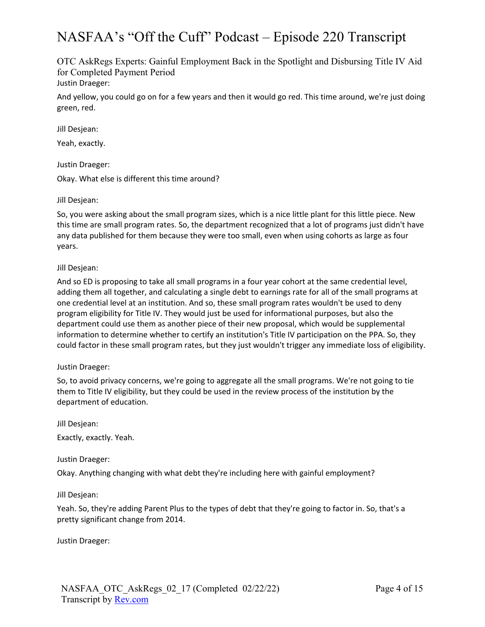OTC AskRegs Experts: Gainful Employment Back in the Spotlight and Disbursing Title IV Aid for Completed Payment Period Justin Draeger:

And yellow, you could go on for a few years and then it would go red. This time around, we're just doing green, red.

Jill Desjean:

Yeah, exactly.

Justin Draeger:

Okay. What else is different this time around?

Jill Desjean:

So, you were asking about the small program sizes, which is a nice little plant for this little piece. New this time are small program rates. So, the department recognized that a lot of programs just didn't have any data published for them because they were too small, even when using cohorts as large as four years.

Jill Desjean:

And so ED is proposing to take all small programs in a four year cohort at the same credential level, adding them all together, and calculating a single debt to earnings rate for all of the small programs at one credential level at an institution. And so, these small program rates wouldn't be used to deny program eligibility for Title IV. They would just be used for informational purposes, but also the department could use them as another piece of their new proposal, which would be supplemental information to determine whether to certify an institution's Title IV participation on the PPA. So, they could factor in these small program rates, but they just wouldn't trigger any immediate loss of eligibility.

# Justin Draeger:

So, to avoid privacy concerns, we're going to aggregate all the small programs. We're not going to tie them to Title IV eligibility, but they could be used in the review process of the institution by the department of education.

Jill Desjean:

Exactly, exactly. Yeah.

Justin Draeger:

Okay. Anything changing with what debt they're including here with gainful employment?

Jill Desjean:

Yeah. So, they're adding Parent Plus to the types of debt that they're going to factor in. So, that's a pretty significant change from 2014.

Justin Draeger: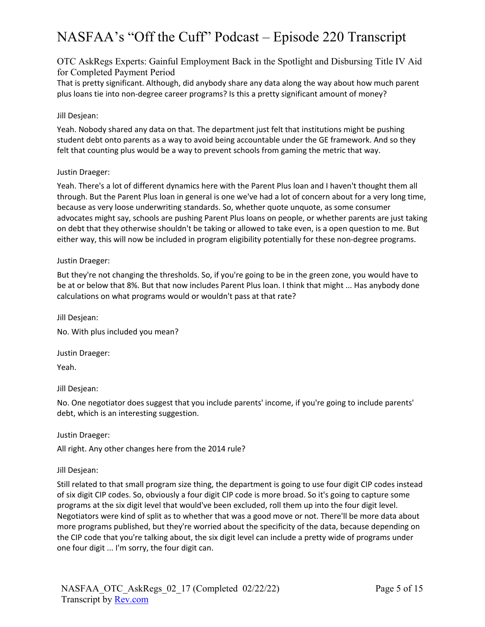OTC AskRegs Experts: Gainful Employment Back in the Spotlight and Disbursing Title IV Aid for Completed Payment Period

That is pretty significant. Although, did anybody share any data along the way about how much parent plus loans tie into non-degree career programs? Is this a pretty significant amount of money?

# Jill Desjean:

Yeah. Nobody shared any data on that. The department just felt that institutions might be pushing student debt onto parents as a way to avoid being accountable under the GE framework. And so they felt that counting plus would be a way to prevent schools from gaming the metric that way.

# Justin Draeger:

Yeah. There's a lot of different dynamics here with the Parent Plus loan and I haven't thought them all through. But the Parent Plus loan in general is one we've had a lot of concern about for a very long time, because as very loose underwriting standards. So, whether quote unquote, as some consumer advocates might say, schools are pushing Parent Plus loans on people, or whether parents are just taking on debt that they otherwise shouldn't be taking or allowed to take even, is a open question to me. But either way, this will now be included in program eligibility potentially for these non-degree programs.

# Justin Draeger:

But they're not changing the thresholds. So, if you're going to be in the green zone, you would have to be at or below that 8%. But that now includes Parent Plus loan. I think that might ... Has anybody done calculations on what programs would or wouldn't pass at that rate?

Jill Desjean: No. With plus included you mean?

Justin Draeger: Yeah.

Jill Desjean:

No. One negotiator does suggest that you include parents' income, if you're going to include parents' debt, which is an interesting suggestion.

Justin Draeger:

All right. Any other changes here from the 2014 rule?

Jill Desjean:

Still related to that small program size thing, the department is going to use four digit CIP codes instead of six digit CIP codes. So, obviously a four digit CIP code is more broad. So it's going to capture some programs at the six digit level that would've been excluded, roll them up into the four digit level. Negotiators were kind of split as to whether that was a good move or not. There'll be more data about more programs published, but they're worried about the specificity of the data, because depending on the CIP code that you're talking about, the six digit level can include a pretty wide of programs under one four digit ... I'm sorry, the four digit can.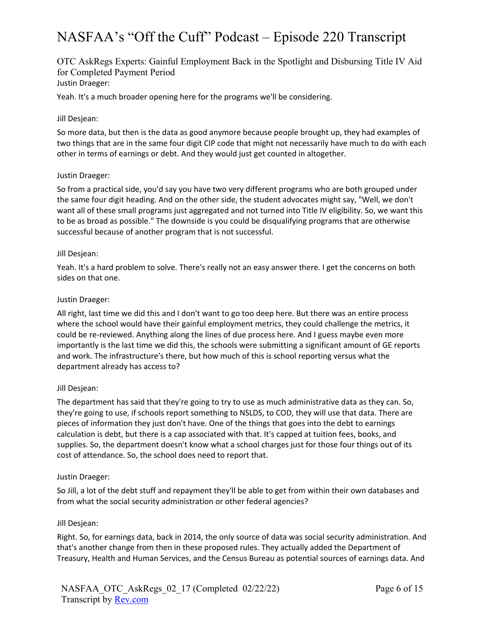# OTC AskRegs Experts: Gainful Employment Back in the Spotlight and Disbursing Title IV Aid for Completed Payment Period Justin Draeger:

Yeah. It's a much broader opening here for the programs we'll be considering.

#### Jill Desjean:

So more data, but then is the data as good anymore because people brought up, they had examples of two things that are in the same four digit CIP code that might not necessarily have much to do with each other in terms of earnings or debt. And they would just get counted in altogether.

#### Justin Draeger:

So from a practical side, you'd say you have two very different programs who are both grouped under the same four digit heading. And on the other side, the student advocates might say, "Well, we don't want all of these small programs just aggregated and not turned into Title IV eligibility. So, we want this to be as broad as possible." The downside is you could be disqualifying programs that are otherwise successful because of another program that is not successful.

#### Jill Desjean:

Yeah. It's a hard problem to solve. There's really not an easy answer there. I get the concerns on both sides on that one.

#### Justin Draeger:

All right, last time we did this and I don't want to go too deep here. But there was an entire process where the school would have their gainful employment metrics, they could challenge the metrics, it could be re-reviewed. Anything along the lines of due process here. And I guess maybe even more importantly is the last time we did this, the schools were submitting a significant amount of GE reports and work. The infrastructure's there, but how much of this is school reporting versus what the department already has access to?

# Jill Desjean:

The department has said that they're going to try to use as much administrative data as they can. So, they're going to use, if schools report something to NSLDS, to COD, they will use that data. There are pieces of information they just don't have. One of the things that goes into the debt to earnings calculation is debt, but there is a cap associated with that. It's capped at tuition fees, books, and supplies. So, the department doesn't know what a school charges just for those four things out of its cost of attendance. So, the school does need to report that.

#### Justin Draeger:

So Jill, a lot of the debt stuff and repayment they'll be able to get from within their own databases and from what the social security administration or other federal agencies?

#### Jill Desjean:

Right. So, for earnings data, back in 2014, the only source of data was social security administration. And that's another change from then in these proposed rules. They actually added the Department of Treasury, Health and Human Services, and the Census Bureau as potential sources of earnings data. And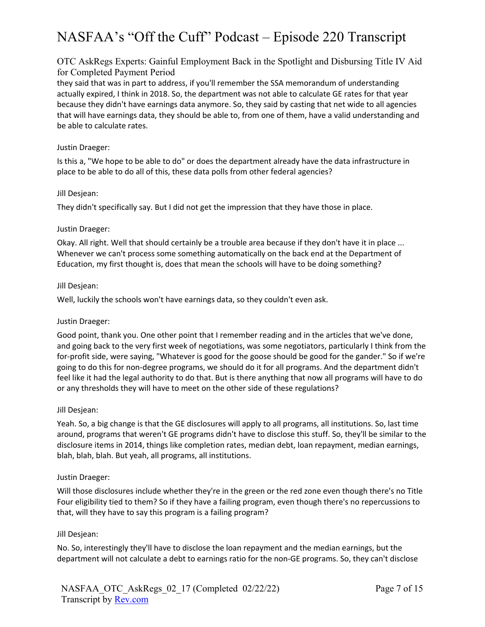# OTC AskRegs Experts: Gainful Employment Back in the Spotlight and Disbursing Title IV Aid for Completed Payment Period

they said that was in part to address, if you'll remember the SSA memorandum of understanding actually expired, I think in 2018. So, the department was not able to calculate GE rates for that year because they didn't have earnings data anymore. So, they said by casting that net wide to all agencies that will have earnings data, they should be able to, from one of them, have a valid understanding and be able to calculate rates.

# Justin Draeger:

Is this a, "We hope to be able to do" or does the department already have the data infrastructure in place to be able to do all of this, these data polls from other federal agencies?

# Jill Desjean:

They didn't specifically say. But I did not get the impression that they have those in place.

# Justin Draeger:

Okay. All right. Well that should certainly be a trouble area because if they don't have it in place ... Whenever we can't process some something automatically on the back end at the Department of Education, my first thought is, does that mean the schools will have to be doing something?

# Jill Desjean:

Well, luckily the schools won't have earnings data, so they couldn't even ask.

# Justin Draeger:

Good point, thank you. One other point that I remember reading and in the articles that we've done, and going back to the very first week of negotiations, was some negotiators, particularly I think from the for-profit side, were saying, "Whatever is good for the goose should be good for the gander." So if we're going to do this for non-degree programs, we should do it for all programs. And the department didn't feel like it had the legal authority to do that. But is there anything that now all programs will have to do or any thresholds they will have to meet on the other side of these regulations?

# Jill Desjean:

Yeah. So, a big change is that the GE disclosures will apply to all programs, all institutions. So, last time around, programs that weren't GE programs didn't have to disclose this stuff. So, they'll be similar to the disclosure items in 2014, things like completion rates, median debt, loan repayment, median earnings, blah, blah, blah. But yeah, all programs, all institutions.

# Justin Draeger:

Will those disclosures include whether they're in the green or the red zone even though there's no Title Four eligibility tied to them? So if they have a failing program, even though there's no repercussions to that, will they have to say this program is a failing program?

# Jill Desjean:

No. So, interestingly they'll have to disclose the loan repayment and the median earnings, but the department will not calculate a debt to earnings ratio for the non-GE programs. So, they can't disclose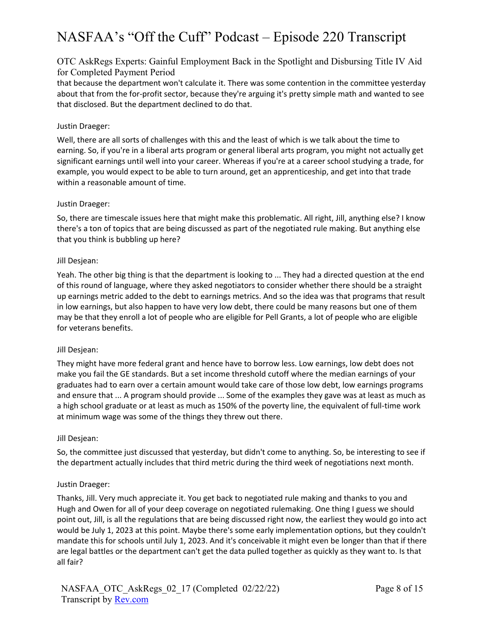# OTC AskRegs Experts: Gainful Employment Back in the Spotlight and Disbursing Title IV Aid for Completed Payment Period

that because the department won't calculate it. There was some contention in the committee yesterday about that from the for-profit sector, because they're arguing it's pretty simple math and wanted to see that disclosed. But the department declined to do that.

# Justin Draeger:

Well, there are all sorts of challenges with this and the least of which is we talk about the time to earning. So, if you're in a liberal arts program or general liberal arts program, you might not actually get significant earnings until well into your career. Whereas if you're at a career school studying a trade, for example, you would expect to be able to turn around, get an apprenticeship, and get into that trade within a reasonable amount of time.

# Justin Draeger:

So, there are timescale issues here that might make this problematic. All right, Jill, anything else? I know there's a ton of topics that are being discussed as part of the negotiated rule making. But anything else that you think is bubbling up here?

# Jill Desjean:

Yeah. The other big thing is that the department is looking to ... They had a directed question at the end of this round of language, where they asked negotiators to consider whether there should be a straight up earnings metric added to the debt to earnings metrics. And so the idea was that programs that result in low earnings, but also happen to have very low debt, there could be many reasons but one of them may be that they enroll a lot of people who are eligible for Pell Grants, a lot of people who are eligible for veterans benefits.

# Jill Desjean:

They might have more federal grant and hence have to borrow less. Low earnings, low debt does not make you fail the GE standards. But a set income threshold cutoff where the median earnings of your graduates had to earn over a certain amount would take care of those low debt, low earnings programs and ensure that ... A program should provide ... Some of the examples they gave was at least as much as a high school graduate or at least as much as 150% of the poverty line, the equivalent of full-time work at minimum wage was some of the things they threw out there.

# Jill Desjean:

So, the committee just discussed that yesterday, but didn't come to anything. So, be interesting to see if the department actually includes that third metric during the third week of negotiations next month.

# Justin Draeger:

Thanks, Jill. Very much appreciate it. You get back to negotiated rule making and thanks to you and Hugh and Owen for all of your deep coverage on negotiated rulemaking. One thing I guess we should point out, Jill, is all the regulations that are being discussed right now, the earliest they would go into act would be July 1, 2023 at this point. Maybe there's some early implementation options, but they couldn't mandate this for schools until July 1, 2023. And it's conceivable it might even be longer than that if there are legal battles or the department can't get the data pulled together as quickly as they want to. Is that all fair?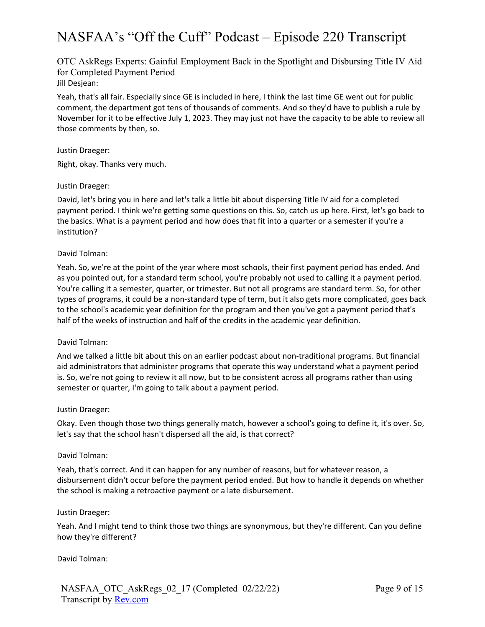OTC AskRegs Experts: Gainful Employment Back in the Spotlight and Disbursing Title IV Aid for Completed Payment Period Jill Desjean:

Yeah, that's all fair. Especially since GE is included in here, I think the last time GE went out for public comment, the department got tens of thousands of comments. And so they'd have to publish a rule by November for it to be effective July 1, 2023. They may just not have the capacity to be able to review all those comments by then, so.

#### Justin Draeger:

Right, okay. Thanks very much.

#### Justin Draeger:

David, let's bring you in here and let's talk a little bit about dispersing Title IV aid for a completed payment period. I think we're getting some questions on this. So, catch us up here. First, let's go back to the basics. What is a payment period and how does that fit into a quarter or a semester if you're a institution?

#### David Tolman:

Yeah. So, we're at the point of the year where most schools, their first payment period has ended. And as you pointed out, for a standard term school, you're probably not used to calling it a payment period. You're calling it a semester, quarter, or trimester. But not all programs are standard term. So, for other types of programs, it could be a non-standard type of term, but it also gets more complicated, goes back to the school's academic year definition for the program and then you've got a payment period that's half of the weeks of instruction and half of the credits in the academic year definition.

#### David Tolman:

And we talked a little bit about this on an earlier podcast about non-traditional programs. But financial aid administrators that administer programs that operate this way understand what a payment period is. So, we're not going to review it all now, but to be consistent across all programs rather than using semester or quarter, I'm going to talk about a payment period.

#### Justin Draeger:

Okay. Even though those two things generally match, however a school's going to define it, it's over. So, let's say that the school hasn't dispersed all the aid, is that correct?

#### David Tolman:

Yeah, that's correct. And it can happen for any number of reasons, but for whatever reason, a disbursement didn't occur before the payment period ended. But how to handle it depends on whether the school is making a retroactive payment or a late disbursement.

#### Justin Draeger:

Yeah. And I might tend to think those two things are synonymous, but they're different. Can you define how they're different?

David Tolman: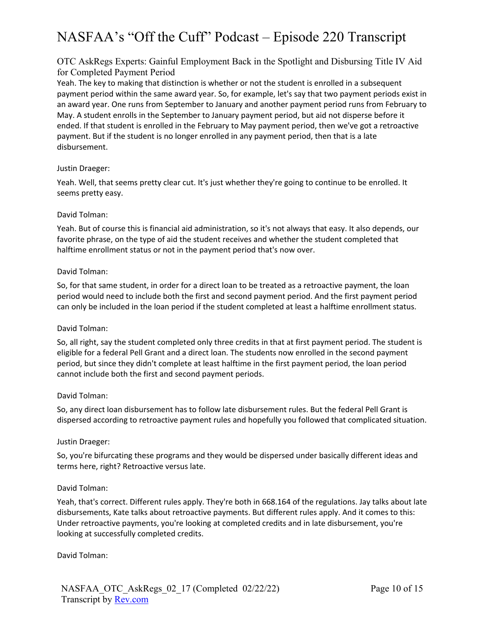# OTC AskRegs Experts: Gainful Employment Back in the Spotlight and Disbursing Title IV Aid for Completed Payment Period

Yeah. The key to making that distinction is whether or not the student is enrolled in a subsequent payment period within the same award year. So, for example, let's say that two payment periods exist in an award year. One runs from September to January and another payment period runs from February to May. A student enrolls in the September to January payment period, but aid not disperse before it ended. If that student is enrolled in the February to May payment period, then we've got a retroactive payment. But if the student is no longer enrolled in any payment period, then that is a late disbursement.

# Justin Draeger:

Yeah. Well, that seems pretty clear cut. It's just whether they're going to continue to be enrolled. It seems pretty easy.

# David Tolman:

Yeah. But of course this is financial aid administration, so it's not always that easy. It also depends, our favorite phrase, on the type of aid the student receives and whether the student completed that halftime enrollment status or not in the payment period that's now over.

# David Tolman:

So, for that same student, in order for a direct loan to be treated as a retroactive payment, the loan period would need to include both the first and second payment period. And the first payment period can only be included in the loan period if the student completed at least a halftime enrollment status.

# David Tolman:

So, all right, say the student completed only three credits in that at first payment period. The student is eligible for a federal Pell Grant and a direct loan. The students now enrolled in the second payment period, but since they didn't complete at least halftime in the first payment period, the loan period cannot include both the first and second payment periods.

# David Tolman:

So, any direct loan disbursement has to follow late disbursement rules. But the federal Pell Grant is dispersed according to retroactive payment rules and hopefully you followed that complicated situation.

# Justin Draeger:

So, you're bifurcating these programs and they would be dispersed under basically different ideas and terms here, right? Retroactive versus late.

# David Tolman:

Yeah, that's correct. Different rules apply. They're both in 668.164 of the regulations. Jay talks about late disbursements, Kate talks about retroactive payments. But different rules apply. And it comes to this: Under retroactive payments, you're looking at completed credits and in late disbursement, you're looking at successfully completed credits.

David Tolman: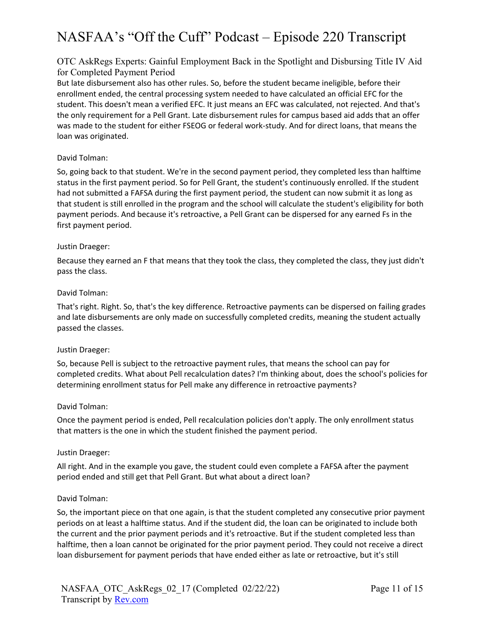# OTC AskRegs Experts: Gainful Employment Back in the Spotlight and Disbursing Title IV Aid for Completed Payment Period

But late disbursement also has other rules. So, before the student became ineligible, before their enrollment ended, the central processing system needed to have calculated an official EFC for the student. This doesn't mean a verified EFC. It just means an EFC was calculated, not rejected. And that's the only requirement for a Pell Grant. Late disbursement rules for campus based aid adds that an offer was made to the student for either FSEOG or federal work-study. And for direct loans, that means the loan was originated.

# David Tolman:

So, going back to that student. We're in the second payment period, they completed less than halftime status in the first payment period. So for Pell Grant, the student's continuously enrolled. If the student had not submitted a FAFSA during the first payment period, the student can now submit it as long as that student is still enrolled in the program and the school will calculate the student's eligibility for both payment periods. And because it's retroactive, a Pell Grant can be dispersed for any earned Fs in the first payment period.

# Justin Draeger:

Because they earned an F that means that they took the class, they completed the class, they just didn't pass the class.

# David Tolman:

That's right. Right. So, that's the key difference. Retroactive payments can be dispersed on failing grades and late disbursements are only made on successfully completed credits, meaning the student actually passed the classes.

# Justin Draeger:

So, because Pell is subject to the retroactive payment rules, that means the school can pay for completed credits. What about Pell recalculation dates? I'm thinking about, does the school's policies for determining enrollment status for Pell make any difference in retroactive payments?

# David Tolman:

Once the payment period is ended, Pell recalculation policies don't apply. The only enrollment status that matters is the one in which the student finished the payment period.

# Justin Draeger:

All right. And in the example you gave, the student could even complete a FAFSA after the payment period ended and still get that Pell Grant. But what about a direct loan?

# David Tolman:

So, the important piece on that one again, is that the student completed any consecutive prior payment periods on at least a halftime status. And if the student did, the loan can be originated to include both the current and the prior payment periods and it's retroactive. But if the student completed less than halftime, then a loan cannot be originated for the prior payment period. They could not receive a direct loan disbursement for payment periods that have ended either as late or retroactive, but it's still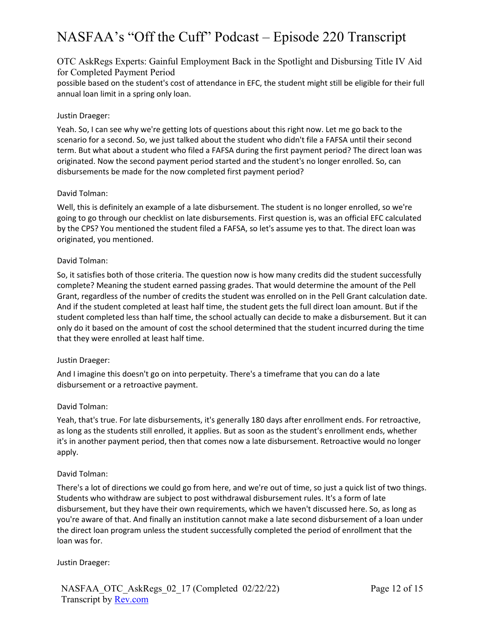# OTC AskRegs Experts: Gainful Employment Back in the Spotlight and Disbursing Title IV Aid for Completed Payment Period

possible based on the student's cost of attendance in EFC, the student might still be eligible for their full annual loan limit in a spring only loan.

# Justin Draeger:

Yeah. So, I can see why we're getting lots of questions about this right now. Let me go back to the scenario for a second. So, we just talked about the student who didn't file a FAFSA until their second term. But what about a student who filed a FAFSA during the first payment period? The direct loan was originated. Now the second payment period started and the student's no longer enrolled. So, can disbursements be made for the now completed first payment period?

# David Tolman:

Well, this is definitely an example of a late disbursement. The student is no longer enrolled, so we're going to go through our checklist on late disbursements. First question is, was an official EFC calculated by the CPS? You mentioned the student filed a FAFSA, so let's assume yes to that. The direct loan was originated, you mentioned.

# David Tolman:

So, it satisfies both of those criteria. The question now is how many credits did the student successfully complete? Meaning the student earned passing grades. That would determine the amount of the Pell Grant, regardless of the number of credits the student was enrolled on in the Pell Grant calculation date. And if the student completed at least half time, the student gets the full direct loan amount. But if the student completed less than half time, the school actually can decide to make a disbursement. But it can only do it based on the amount of cost the school determined that the student incurred during the time that they were enrolled at least half time.

# Justin Draeger:

And I imagine this doesn't go on into perpetuity. There's a timeframe that you can do a late disbursement or a retroactive payment.

# David Tolman:

Yeah, that's true. For late disbursements, it's generally 180 days after enrollment ends. For retroactive, as long as the students still enrolled, it applies. But as soon as the student's enrollment ends, whether it's in another payment period, then that comes now a late disbursement. Retroactive would no longer apply.

# David Tolman:

There's a lot of directions we could go from here, and we're out of time, so just a quick list of two things. Students who withdraw are subject to post withdrawal disbursement rules. It's a form of late disbursement, but they have their own requirements, which we haven't discussed here. So, as long as you're aware of that. And finally an institution cannot make a late second disbursement of a loan under the direct loan program unless the student successfully completed the period of enrollment that the loan was for.

# Justin Draeger: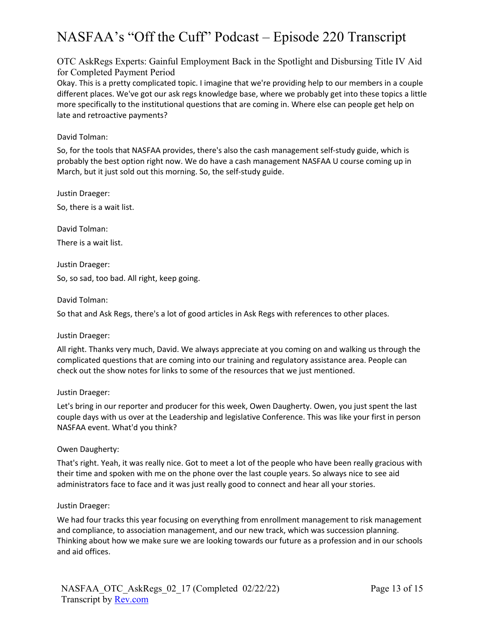OTC AskRegs Experts: Gainful Employment Back in the Spotlight and Disbursing Title IV Aid for Completed Payment Period

Okay. This is a pretty complicated topic. I imagine that we're providing help to our members in a couple different places. We've got our ask regs knowledge base, where we probably get into these topics a little more specifically to the institutional questions that are coming in. Where else can people get help on late and retroactive payments?

# David Tolman:

So, for the tools that NASFAA provides, there's also the cash management self-study guide, which is probably the best option right now. We do have a cash management NASFAA U course coming up in March, but it just sold out this morning. So, the self-study guide.

Justin Draeger:

So, there is a wait list.

David Tolman:

There is a wait list.

Justin Draeger:

So, so sad, too bad. All right, keep going.

David Tolman:

So that and Ask Regs, there's a lot of good articles in Ask Regs with references to other places.

Justin Draeger:

All right. Thanks very much, David. We always appreciate at you coming on and walking us through the complicated questions that are coming into our training and regulatory assistance area. People can check out the show notes for links to some of the resources that we just mentioned.

# Justin Draeger:

Let's bring in our reporter and producer for this week, Owen Daugherty. Owen, you just spent the last couple days with us over at the Leadership and legislative Conference. This was like your first in person NASFAA event. What'd you think?

Owen Daugherty:

That's right. Yeah, it was really nice. Got to meet a lot of the people who have been really gracious with their time and spoken with me on the phone over the last couple years. So always nice to see aid administrators face to face and it was just really good to connect and hear all your stories.

#### Justin Draeger:

We had four tracks this year focusing on everything from enrollment management to risk management and compliance, to association management, and our new track, which was succession planning. Thinking about how we make sure we are looking towards our future as a profession and in our schools and aid offices.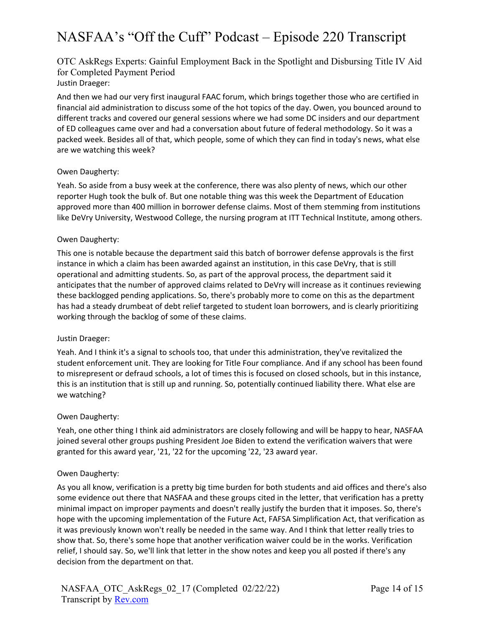# OTC AskRegs Experts: Gainful Employment Back in the Spotlight and Disbursing Title IV Aid for Completed Payment Period Justin Draeger:

And then we had our very first inaugural FAAC forum, which brings together those who are certified in financial aid administration to discuss some of the hot topics of the day. Owen, you bounced around to different tracks and covered our general sessions where we had some DC insiders and our department of ED colleagues came over and had a conversation about future of federal methodology. So it was a packed week. Besides all of that, which people, some of which they can find in today's news, what else are we watching this week?

# Owen Daugherty:

Yeah. So aside from a busy week at the conference, there was also plenty of news, which our other reporter Hugh took the bulk of. But one notable thing was this week the Department of Education approved more than 400 million in borrower defense claims. Most of them stemming from institutions like DeVry University, Westwood College, the nursing program at ITT Technical Institute, among others.

# Owen Daugherty:

This one is notable because the department said this batch of borrower defense approvals is the first instance in which a claim has been awarded against an institution, in this case DeVry, that is still operational and admitting students. So, as part of the approval process, the department said it anticipates that the number of approved claims related to DeVry will increase as it continues reviewing these backlogged pending applications. So, there's probably more to come on this as the department has had a steady drumbeat of debt relief targeted to student loan borrowers, and is clearly prioritizing working through the backlog of some of these claims.

# Justin Draeger:

Yeah. And I think it's a signal to schools too, that under this administration, they've revitalized the student enforcement unit. They are looking for Title Four compliance. And if any school has been found to misrepresent or defraud schools, a lot of times this is focused on closed schools, but in this instance, this is an institution that is still up and running. So, potentially continued liability there. What else are we watching?

# Owen Daugherty:

Yeah, one other thing I think aid administrators are closely following and will be happy to hear, NASFAA joined several other groups pushing President Joe Biden to extend the verification waivers that were granted for this award year, '21, '22 for the upcoming '22, '23 award year.

# Owen Daugherty:

As you all know, verification is a pretty big time burden for both students and aid offices and there's also some evidence out there that NASFAA and these groups cited in the letter, that verification has a pretty minimal impact on improper payments and doesn't really justify the burden that it imposes. So, there's hope with the upcoming implementation of the Future Act, FAFSA Simplification Act, that verification as it was previously known won't really be needed in the same way. And I think that letter really tries to show that. So, there's some hope that another verification waiver could be in the works. Verification relief, I should say. So, we'll link that letter in the show notes and keep you all posted if there's any decision from the department on that.